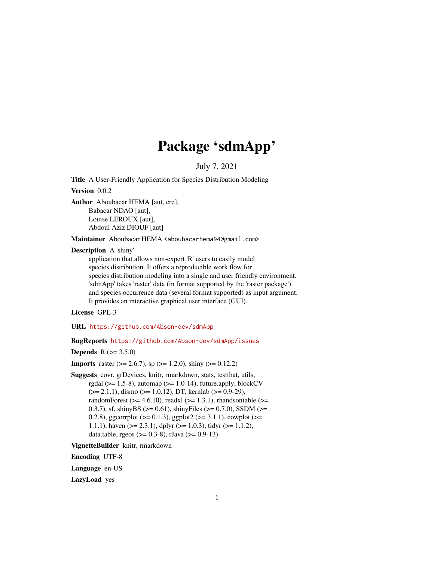# Package 'sdmApp'

July 7, 2021

<span id="page-0-0"></span>Title A User-Friendly Application for Species Distribution Modeling

Version 0.0.2

Author Aboubacar HEMA [aut, cre], Babacar NDAO [aut], Louise LEROUX [aut], Abdoul Aziz DIOUF [aut]

Maintainer Aboubacar HEMA <aboubacarhema94@gmail.com>

Description A 'shiny'

application that allows non-expert 'R' users to easily model species distribution. It offers a reproducible work flow for species distribution modeling into a single and user friendly environment. 'sdmApp' takes 'raster' data (in format supported by the 'raster package') and species occurrence data (several format supported) as input argument. It provides an interactive graphical user interface (GUI).

License GPL-3

URL <https://github.com/Abson-dev/sdmApp>

BugReports <https://github.com/Abson-dev/sdmApp/issues>

**Depends**  $R (= 3.5.0)$ 

**Imports** raster ( $> = 2.6.7$ ), sp ( $> = 1.2.0$ ), shiny ( $> = 0.12.2$ )

Suggests covr, grDevices, knitr, rmarkdown, stats, testthat, utils, rgdal ( $>= 1.5-8$ ), automap ( $>= 1.0-14$ ), future.apply, blockCV  $(>= 2.1.1)$ , dismo  $(>= 1.0.12)$ , DT, kernlab  $(>= 0.9-29)$ , randomForest ( $>= 4.6.10$ ), readxl ( $>= 1.3.1$ ), rhandsontable ( $>=$ 0.3.7), sf, shinyBS ( $>= 0.61$ ), shinyFiles ( $>= 0.7.0$ ), SSDM ( $>=$ 0.2.8), ggcorrplot ( $>= 0.1.3$ ), ggplot2 ( $>= 3.1.1$ ), cowplot ( $>= 0.1.3$ ) 1.1.1), haven ( $>= 2.3.1$ ), dplyr ( $>= 1.0.3$ ), tidyr ( $>= 1.1.2$ ), data.table, rgeos ( $> = 0.3-8$ ), rJava ( $> = 0.9-13$ )

VignetteBuilder knitr, rmarkdown

Encoding UTF-8

Language en-US

LazyLoad yes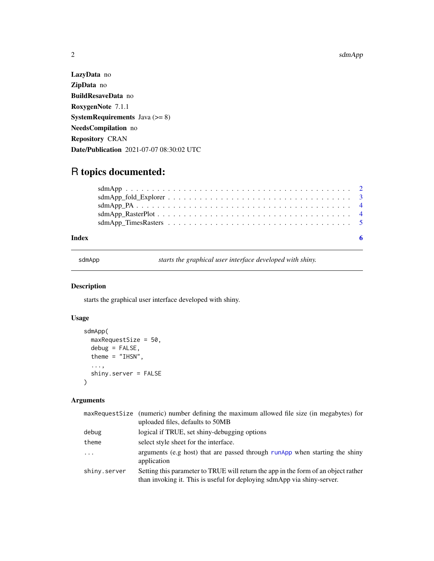## R topics documented:

| Index |  |
|-------|--|
|       |  |
|       |  |
|       |  |
|       |  |
|       |  |

sdmApp *starts the graphical user interface developed with shiny.*

#### Description

starts the graphical user interface developed with shiny.

### Usage

```
sdmApp(
 maxRequestSize = 50,
 debug = FALSE,
  theme = "IHSN",
  ...,
  shiny.server = FALSE
)
```
#### Arguments

|              | maxRequestSize (numeric) number defining the maximum allowed file size (in megabytes) for<br>uploaded files, defaults to 50MB                                 |
|--------------|---------------------------------------------------------------------------------------------------------------------------------------------------------------|
| debug        | logical if TRUE, set shiny-debugging options                                                                                                                  |
| theme        | select style sheet for the interface.                                                                                                                         |
| $\cdots$     | arguments (e.g host) that are passed through runApp when starting the shiny<br>application                                                                    |
| shiny.server | Setting this parameter to TRUE will return the app in the form of an object rather<br>than invoking it. This is useful for deploying sdmApp via shiny-server. |

<span id="page-1-0"></span>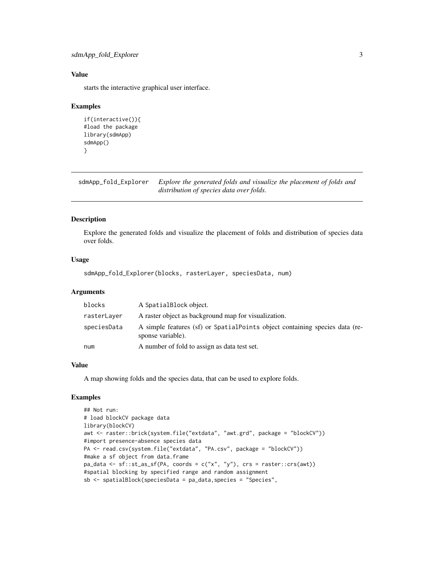#### <span id="page-2-0"></span>Value

starts the interactive graphical user interface.

#### Examples

```
if(interactive()){
#load the package
library(sdmApp)
sdmApp()
}
```
sdmApp\_fold\_Explorer *Explore the generated folds and visualize the placement of folds and distribution of species data over folds.*

#### Description

Explore the generated folds and visualize the placement of folds and distribution of species data over folds.

#### Usage

```
sdmApp_fold_Explorer(blocks, rasterLayer, speciesData, num)
```
#### Arguments

| blocks      | A SpatialBlock object.                                                                           |
|-------------|--------------------------------------------------------------------------------------------------|
| rasterLayer | A raster object as background map for visualization.                                             |
| speciesData | A simple features (sf) or SpatialPoints object containing species data (re-<br>sponse variable). |
| num         | A number of fold to assign as data test set.                                                     |

#### Value

A map showing folds and the species data, that can be used to explore folds.

#### Examples

```
## Not run:
# load blockCV package data
library(blockCV)
awt <- raster::brick(system.file("extdata", "awt.grd", package = "blockCV"))
#import presence-absence species data
PA <- read.csv(system.file("extdata", "PA.csv", package = "blockCV"))
#make a sf object from data.frame
pa\_data \leq sf::st\_as\_sf(PA, coords = c("x", "y"), crs = raster::crs(awt))#spatial blocking by specified range and random assignment
sb <- spatialBlock(speciesData = pa_data,species = "Species",
```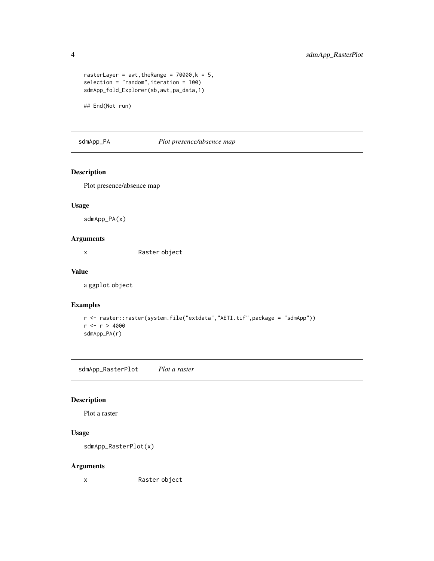```
rasterLayer = awt, the Range = 70000, k = 5,
selection = "random",iteration = 100)
sdmApp_fold_Explorer(sb,awt,pa_data,1)
```
## End(Not run)

#### sdmApp\_PA *Plot presence/absence map*

#### Description

Plot presence/absence map

#### Usage

sdmApp\_PA(x)

#### Arguments

x Raster object

#### Value

a ggplot object

#### Examples

```
r <- raster::raster(system.file("extdata","AETI.tif",package = "sdmApp"))
r <- r > 4000
sdmApp_PA(r)
```
sdmApp\_RasterPlot *Plot a raster*

#### Description

Plot a raster

#### Usage

```
sdmApp_RasterPlot(x)
```
#### Arguments

x Raster object

<span id="page-3-0"></span>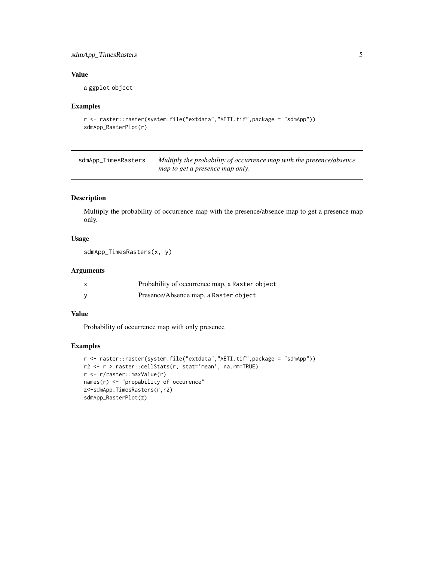#### <span id="page-4-0"></span>sdmApp\_TimesRasters 5

#### Value

a ggplot object

#### Examples

```
r <- raster::raster(system.file("extdata","AETI.tif",package = "sdmApp"))
sdmApp_RasterPlot(r)
```
sdmApp\_TimesRasters *Multiply the probability of occurrence map with the presence/absence map to get a presence map only.*

#### Description

Multiply the probability of occurrence map with the presence/absence map to get a presence map only.

#### Usage

```
sdmApp_TimesRasters(x, y)
```
#### Arguments

| Probability of occurrence map, a Raster object |
|------------------------------------------------|
| Presence/Absence map, a Raster object          |

#### Value

Probability of occurrence map with only presence

#### Examples

```
r <- raster::raster(system.file("extdata","AETI.tif",package = "sdmApp"))
r2 <- r > raster::cellStats(r, stat='mean', na.rm=TRUE)
r <- r/raster::maxValue(r)
names(r) <- "propability of occurence"
z<-sdmApp_TimesRasters(r,r2)
sdmApp_RasterPlot(z)
```